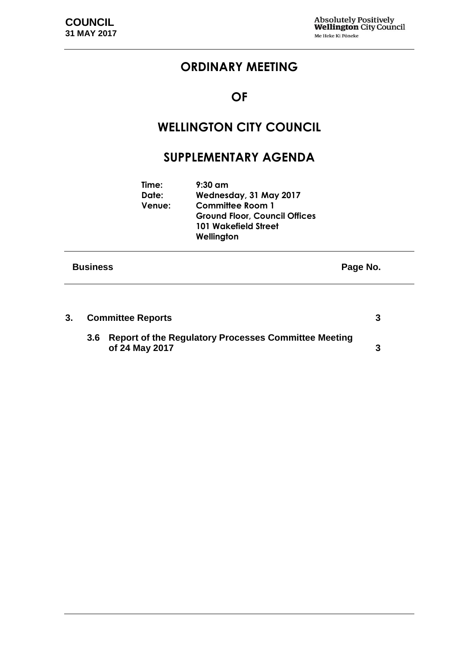# **ORDINARY MEETING**

### **OF**

# **WELLINGTON CITY COUNCIL**

### **SUPPLEMENTARY AGENDA**

| <b>Business</b> |                          |                                                                                                                                              | Page No. |
|-----------------|--------------------------|----------------------------------------------------------------------------------------------------------------------------------------------|----------|
|                 | Time:<br>Date:<br>Venue: | $9:30$ am<br>Wednesday, 31 May 2017<br><b>Committee Room 1</b><br><b>Ground Floor, Council Offices</b><br>101 Wakefield Street<br>Wellington |          |

| 3. | <b>Committee Reports</b> |                                                                            |  |
|----|--------------------------|----------------------------------------------------------------------------|--|
|    |                          | 3.6 Report of the Regulatory Processes Committee Meeting<br>of 24 May 2017 |  |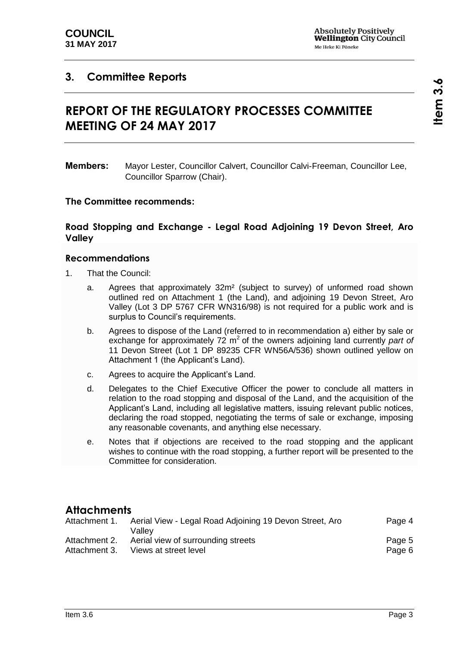#### <span id="page-2-1"></span><span id="page-2-0"></span>**3. Committee Reports**

# **REPORT OF THE REGULATORY PROCESSES COMMITTEE MEETING OF 24 MAY 2017**

#### **The Committee recommends:**

#### **Road Stopping and Exchange - Legal Road Adjoining 19 Devon Street, Aro Valley**

#### **Recommendations**

- 1. That the Council:
	- a. Agrees that approximately 32m² (subject to survey) of unformed road shown outlined red on Attachment 1 (the Land), and adjoining 19 Devon Street, Aro Valley (Lot 3 DP 5767 CFR WN316/98) is not required for a public work and is surplus to Council's requirements.
	- b. Agrees to dispose of the Land (referred to in recommendation a) either by sale or exchange for approximately 72 m<sup>2</sup> of the owners adjoining land currently *part of* 11 Devon Street (Lot 1 DP 89235 CFR WN56A/536) shown outlined yellow on Attachment 1 (the Applicant's Land).
	- c. Agrees to acquire the Applicant's Land.
	- d. Delegates to the Chief Executive Officer the power to conclude all matters in relation to the road stopping and disposal of the Land, and the acquisition of the Applicant's Land, including all legislative matters, issuing relevant public notices, declaring the road stopped, negotiating the terms of sale or exchange, imposing any reasonable covenants, and anything else necessary.
	- e. Notes that if objections are received to the road stopping and the applicant wishes to continue with the road stopping, a further report will be presented to the Committee for consideration.

#### **Attachments**

| Attachment 1. | Aerial View - Legal Road Adjoining 19 Devon Street, Aro<br>Vallev |        |
|---------------|-------------------------------------------------------------------|--------|
| Attachment 2. | Aerial view of surrounding streets                                | Page 5 |
| Attachment 3. | Views at street level                                             | Page 6 |

**Members:** Mayor Lester, Councillor Calvert, Councillor Calvi-Freeman, Councillor Lee, Councillor Sparrow (Chair).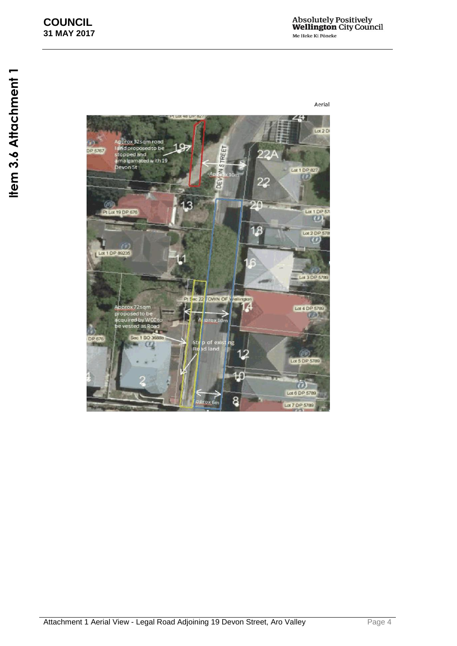<span id="page-3-0"></span>Lot  $2D$ Approx 32sqm road<br>Tand proposed to be<br>stopped and<br>ama stand with 19 **VSTREET** P 5767 Devon St Lot 1 DP 827  $\geq$ DEW 22 13 IJ. Pt Lot 19 DP 676 Lot 1 DP 57 ω B Lot 2 DP 57  $\omega$ Lot 1 DP 89235 at 3 DP 578 PIS ec 22 TOWN OF Approx 72 sqm<br>proposed to be<br>acquired by Wi Lot 4 DP 5789 **CON**  $rd$  as Ro st<br>Rg p of exi<br>ad land ïО Lot 5 DP 5789  $\omega$ Lot 6 DP 5789 8 Lot 7 DP 5789

Aerial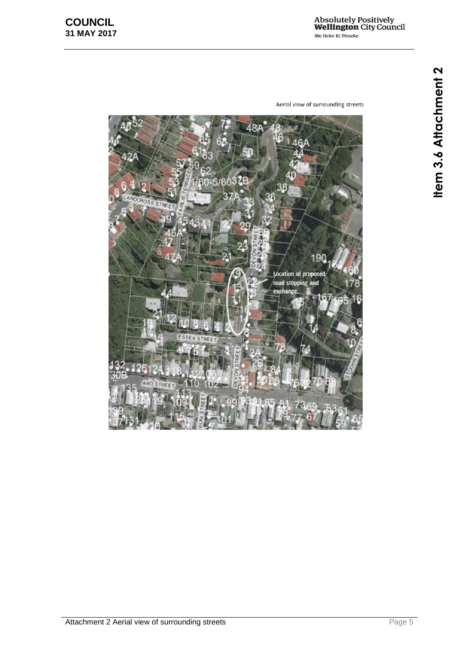**Item 3.6 Attachment 2 3.6 Attachment 2**

Aerial view of surrounding streets

<span id="page-4-0"></span>